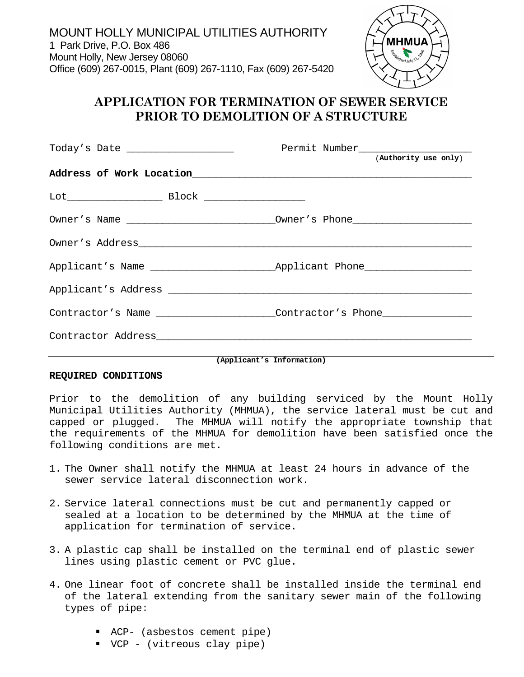

## **APPLICATION FOR TERMINATION OF SEWER SERVICE PRIOR TO DEMOLITION OF A STRUCTURE**

|                                                                                                                                                                                                                                                                                                                                                                                                                                                                                                                                                        | (Authority use only)                                                             |
|--------------------------------------------------------------------------------------------------------------------------------------------------------------------------------------------------------------------------------------------------------------------------------------------------------------------------------------------------------------------------------------------------------------------------------------------------------------------------------------------------------------------------------------------------------|----------------------------------------------------------------------------------|
| Address of Work Location<br><u>Address of Work Location</u>                                                                                                                                                                                                                                                                                                                                                                                                                                                                                            |                                                                                  |
| $\begin{minipage}{.4\linewidth} \text{Block} \begin{minipage}{.4\linewidth} \end{minipage} \end{minipage} \begin{minipage}{.4\linewidth} \text{Block} \end{minipage} \begin{minipage}{.4\linewidth} \begin{minipage}{.4\linewidth} \end{minipage} \begin{minipage}{.4\linewidth} \end{minipage} \begin{minipage}{.4\linewidth} \end{minipage} \begin{minipage}{.4\linewidth} \end{minipage} \begin{minipage}{.4\linewidth} \end{minipage} \begin{minipage}{.4\linewidth} \end{minipage} \begin{minipage}{.4\linewidth} \end{minipage} \begin{minipage$ |                                                                                  |
|                                                                                                                                                                                                                                                                                                                                                                                                                                                                                                                                                        |                                                                                  |
|                                                                                                                                                                                                                                                                                                                                                                                                                                                                                                                                                        |                                                                                  |
|                                                                                                                                                                                                                                                                                                                                                                                                                                                                                                                                                        |                                                                                  |
|                                                                                                                                                                                                                                                                                                                                                                                                                                                                                                                                                        |                                                                                  |
|                                                                                                                                                                                                                                                                                                                                                                                                                                                                                                                                                        | Contractor's Name __________________Contractor's Phone _________________________ |
|                                                                                                                                                                                                                                                                                                                                                                                                                                                                                                                                                        |                                                                                  |

**(Applicant's Information)** 

## **REQUIRED CONDITIONS**

Prior to the demolition of any building serviced by the Mount Holly Municipal Utilities Authority (MHMUA), the service lateral must be cut and capped or plugged. The MHMUA will notify the appropriate township that the requirements of the MHMUA for demolition have been satisfied once the following conditions are met.

- 1. The Owner shall notify the MHMUA at least 24 hours in advance of the sewer service lateral disconnection work.
- 2. Service lateral connections must be cut and permanently capped or sealed at a location to be determined by the MHMUA at the time of application for termination of service.
- 3. A plastic cap shall be installed on the terminal end of plastic sewer lines using plastic cement or PVC glue.
- 4. One linear foot of concrete shall be installed inside the terminal end of the lateral extending from the sanitary sewer main of the following types of pipe:
	- ACP- (asbestos cement pipe)
	- VCP (vitreous clay pipe)